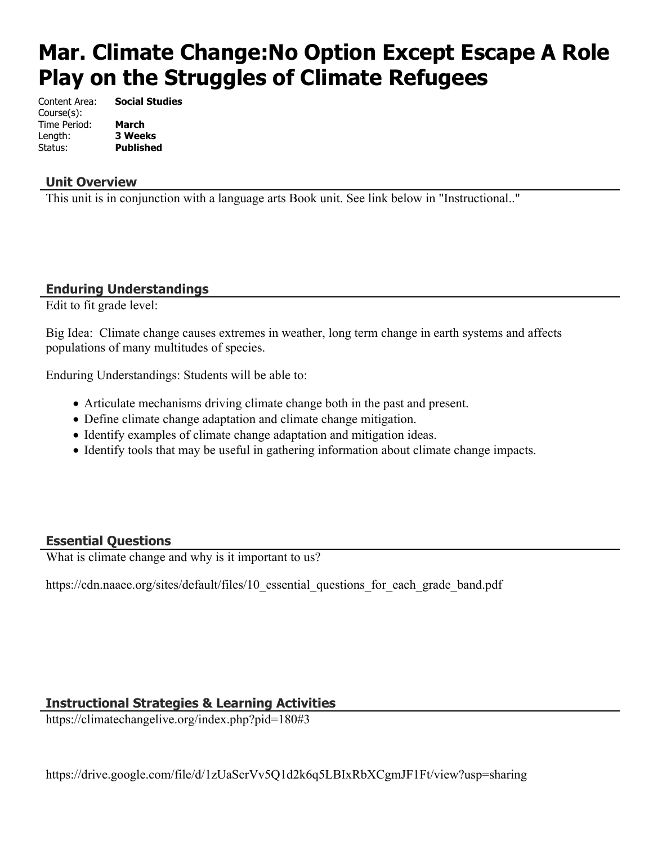# **Mar. Climate Change:No Option Except Escape A Role Play on the Struggles of Climate Refugees**

Content Area: **Social Studies** Course(s): Time Period: **March** Length: **3 Weeks** Status: **Published**

### **Unit Overview**

This unit is in conjunction with a language arts Book unit. See link below in "Instructional.."

## **Enduring Understandings**

Edit to fit grade level:

Big Idea: Climate change causes extremes in weather, long term change in earth systems and affects populations of many multitudes of species.

Enduring Understandings: Students will be able to:

- Articulate mechanisms driving climate change both in the past and present.
- Define climate change adaptation and climate change mitigation.
- Identify examples of climate change adaptation and mitigation ideas.
- Identify tools that may be useful in gathering information about climate change impacts.

## **Essential Questions**

What is climate change and why is it important to us?

https://cdn.naaee.org/sites/default/files/10 essential questions for each grade band.pdf

#### **Instructional Strategies & Learning Activities**

https://climatechangelive.org/index.php?pid=180#3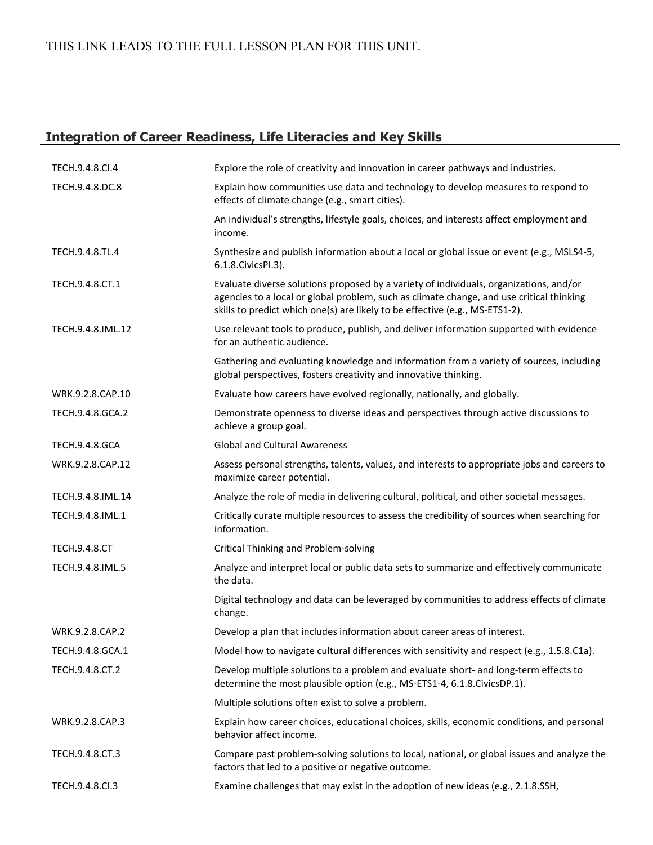# THIS LINK LEADS TO THE FULL LESSON PLAN FOR THIS UNIT.

# **Integration of Career Readiness, Life Literacies and Key Skills**

| TECH.9.4.8.CI.4       | Explore the role of creativity and innovation in career pathways and industries.                                                                                                                                                                                   |
|-----------------------|--------------------------------------------------------------------------------------------------------------------------------------------------------------------------------------------------------------------------------------------------------------------|
| TECH.9.4.8.DC.8       | Explain how communities use data and technology to develop measures to respond to<br>effects of climate change (e.g., smart cities).                                                                                                                               |
|                       | An individual's strengths, lifestyle goals, choices, and interests affect employment and<br>income.                                                                                                                                                                |
| TECH.9.4.8.TL.4       | Synthesize and publish information about a local or global issue or event (e.g., MSLS4-5,<br>6.1.8. Civics PI.3).                                                                                                                                                  |
| TECH.9.4.8.CT.1       | Evaluate diverse solutions proposed by a variety of individuals, organizations, and/or<br>agencies to a local or global problem, such as climate change, and use critical thinking<br>skills to predict which one(s) are likely to be effective (e.g., MS-ETS1-2). |
| TECH.9.4.8.IML.12     | Use relevant tools to produce, publish, and deliver information supported with evidence<br>for an authentic audience.                                                                                                                                              |
|                       | Gathering and evaluating knowledge and information from a variety of sources, including<br>global perspectives, fosters creativity and innovative thinking.                                                                                                        |
| WRK.9.2.8.CAP.10      | Evaluate how careers have evolved regionally, nationally, and globally.                                                                                                                                                                                            |
| TECH.9.4.8.GCA.2      | Demonstrate openness to diverse ideas and perspectives through active discussions to<br>achieve a group goal.                                                                                                                                                      |
| <b>TECH.9.4.8.GCA</b> | <b>Global and Cultural Awareness</b>                                                                                                                                                                                                                               |
| WRK.9.2.8.CAP.12      | Assess personal strengths, talents, values, and interests to appropriate jobs and careers to<br>maximize career potential.                                                                                                                                         |
| TECH.9.4.8.IML.14     | Analyze the role of media in delivering cultural, political, and other societal messages.                                                                                                                                                                          |
| TECH.9.4.8.IML.1      | Critically curate multiple resources to assess the credibility of sources when searching for<br>information.                                                                                                                                                       |
| <b>TECH.9.4.8.CT</b>  | <b>Critical Thinking and Problem-solving</b>                                                                                                                                                                                                                       |
| TECH.9.4.8.IML.5      | Analyze and interpret local or public data sets to summarize and effectively communicate<br>the data.                                                                                                                                                              |
|                       | Digital technology and data can be leveraged by communities to address effects of climate<br>change.                                                                                                                                                               |
| WRK.9.2.8.CAP.2       | Develop a plan that includes information about career areas of interest.                                                                                                                                                                                           |
| TECH.9.4.8.GCA.1      | Model how to navigate cultural differences with sensitivity and respect (e.g., 1.5.8.C1a).                                                                                                                                                                         |
| TECH.9.4.8.CT.2       | Develop multiple solutions to a problem and evaluate short- and long-term effects to<br>determine the most plausible option (e.g., MS-ETS1-4, 6.1.8.CivicsDP.1).                                                                                                   |
|                       | Multiple solutions often exist to solve a problem.                                                                                                                                                                                                                 |
| WRK.9.2.8.CAP.3       | Explain how career choices, educational choices, skills, economic conditions, and personal<br>behavior affect income.                                                                                                                                              |
| TECH.9.4.8.CT.3       | Compare past problem-solving solutions to local, national, or global issues and analyze the<br>factors that led to a positive or negative outcome.                                                                                                                 |
| TECH.9.4.8.CI.3       | Examine challenges that may exist in the adoption of new ideas (e.g., 2.1.8.SSH,                                                                                                                                                                                   |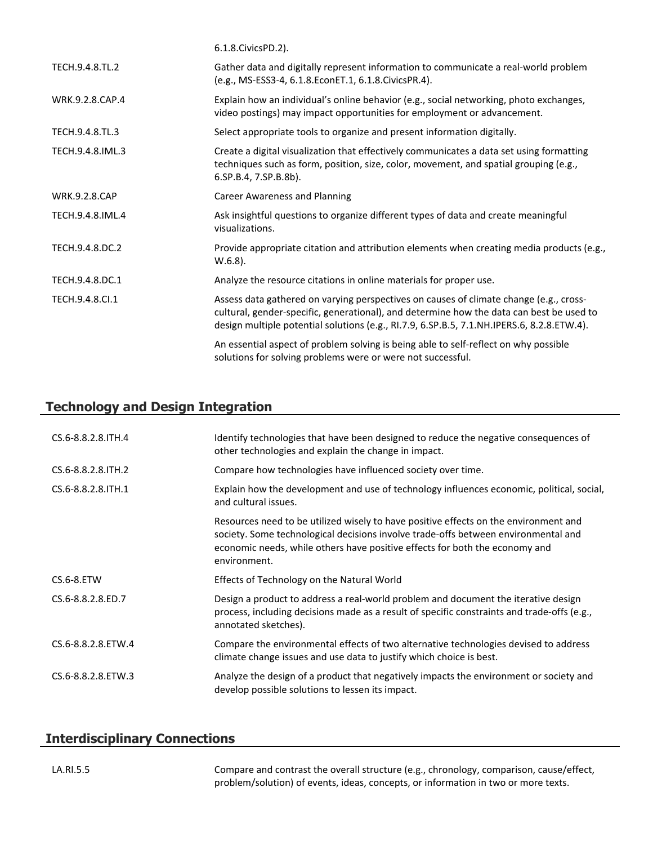|                      | 6.1.8. Civics PD. 2).                                                                                                                                                                                                                                                            |
|----------------------|----------------------------------------------------------------------------------------------------------------------------------------------------------------------------------------------------------------------------------------------------------------------------------|
| TECH.9.4.8.TL.2      | Gather data and digitally represent information to communicate a real-world problem<br>(e.g., MS-ESS3-4, 6.1.8.EconET.1, 6.1.8.CivicsPR.4).                                                                                                                                      |
| WRK.9.2.8.CAP.4      | Explain how an individual's online behavior (e.g., social networking, photo exchanges,<br>video postings) may impact opportunities for employment or advancement.                                                                                                                |
| TECH.9.4.8.TL.3      | Select appropriate tools to organize and present information digitally.                                                                                                                                                                                                          |
| TECH.9.4.8.IML.3     | Create a digital visualization that effectively communicates a data set using formatting<br>techniques such as form, position, size, color, movement, and spatial grouping (e.g.,<br>6.SP.B.4, 7.SP.B.8b).                                                                       |
| <b>WRK.9.2.8.CAP</b> | <b>Career Awareness and Planning</b>                                                                                                                                                                                                                                             |
| TECH.9.4.8.IML.4     | Ask insightful questions to organize different types of data and create meaningful<br>visualizations.                                                                                                                                                                            |
| TECH.9.4.8.DC.2      | Provide appropriate citation and attribution elements when creating media products (e.g.,<br>$W.6.8$ ).                                                                                                                                                                          |
| TECH.9.4.8.DC.1      | Analyze the resource citations in online materials for proper use.                                                                                                                                                                                                               |
| TECH.9.4.8.Cl.1      | Assess data gathered on varying perspectives on causes of climate change (e.g., cross-<br>cultural, gender-specific, generational), and determine how the data can best be used to<br>design multiple potential solutions (e.g., RI.7.9, 6.SP.B.5, 7.1.NH.IPERS.6, 8.2.8.ETW.4). |
|                      | An essential aspect of problem solving is being able to self-reflect on why possible<br>solutions for solving problems were or were not successful.                                                                                                                              |

# **Technology and Design Integration**

| CS.6-8.8.2.8.ITH.4   | Identify technologies that have been designed to reduce the negative consequences of<br>other technologies and explain the change in impact.                                                                                                                              |
|----------------------|---------------------------------------------------------------------------------------------------------------------------------------------------------------------------------------------------------------------------------------------------------------------------|
| CS.6-8.8.2.8. ITH. 2 | Compare how technologies have influenced society over time.                                                                                                                                                                                                               |
| CS.6-8.8.2.8. ITH. 1 | Explain how the development and use of technology influences economic, political, social,<br>and cultural issues.                                                                                                                                                         |
|                      | Resources need to be utilized wisely to have positive effects on the environment and<br>society. Some technological decisions involve trade-offs between environmental and<br>economic needs, while others have positive effects for both the economy and<br>environment. |
| CS.6-8.ETW           | Effects of Technology on the Natural World                                                                                                                                                                                                                                |
| CS.6-8.8.2.8.ED.7    | Design a product to address a real-world problem and document the iterative design<br>process, including decisions made as a result of specific constraints and trade-offs (e.g.,<br>annotated sketches).                                                                 |
| CS.6-8.8.2.8.ETW.4   | Compare the environmental effects of two alternative technologies devised to address<br>climate change issues and use data to justify which choice is best.                                                                                                               |
| CS.6-8.8.2.8.ETW.3   | Analyze the design of a product that negatively impacts the environment or society and<br>develop possible solutions to lessen its impact.                                                                                                                                |

# **Interdisciplinary Connections**

LA.RI.5.5 Compare and contrast the overall structure (e.g., chronology, comparison, cause/effect, problem/solution) of events, ideas, concepts, or information in two or more texts.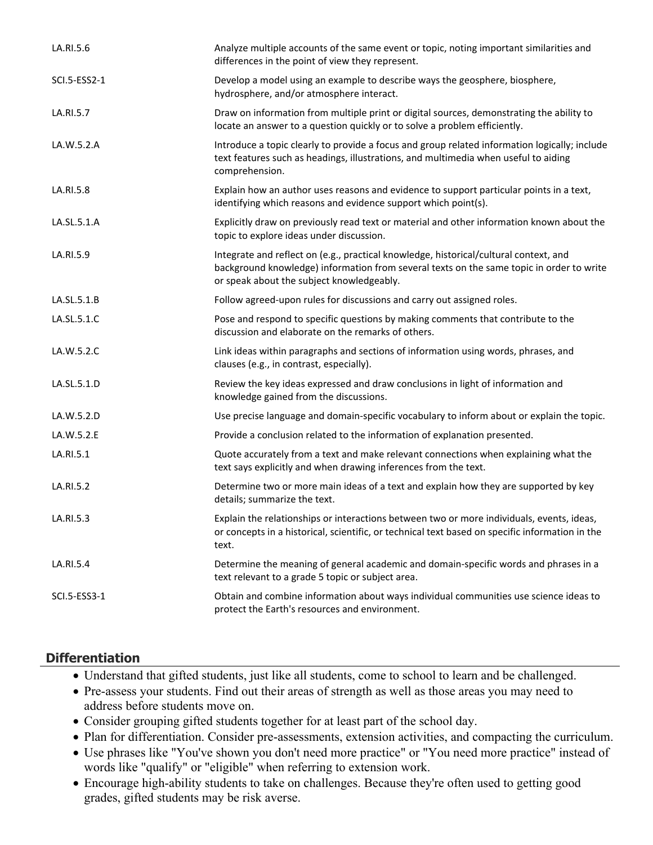| Analyze multiple accounts of the same event or topic, noting important similarities and<br>differences in the point of view they represent.                                                                                    |
|--------------------------------------------------------------------------------------------------------------------------------------------------------------------------------------------------------------------------------|
| Develop a model using an example to describe ways the geosphere, biosphere,<br>hydrosphere, and/or atmosphere interact.                                                                                                        |
| Draw on information from multiple print or digital sources, demonstrating the ability to<br>locate an answer to a question quickly or to solve a problem efficiently.                                                          |
| Introduce a topic clearly to provide a focus and group related information logically; include<br>text features such as headings, illustrations, and multimedia when useful to aiding<br>comprehension.                         |
| Explain how an author uses reasons and evidence to support particular points in a text,<br>identifying which reasons and evidence support which point(s).                                                                      |
| Explicitly draw on previously read text or material and other information known about the<br>topic to explore ideas under discussion.                                                                                          |
| Integrate and reflect on (e.g., practical knowledge, historical/cultural context, and<br>background knowledge) information from several texts on the same topic in order to write<br>or speak about the subject knowledgeably. |
| Follow agreed-upon rules for discussions and carry out assigned roles.                                                                                                                                                         |
| Pose and respond to specific questions by making comments that contribute to the<br>discussion and elaborate on the remarks of others.                                                                                         |
| Link ideas within paragraphs and sections of information using words, phrases, and<br>clauses (e.g., in contrast, especially).                                                                                                 |
| Review the key ideas expressed and draw conclusions in light of information and<br>knowledge gained from the discussions.                                                                                                      |
| Use precise language and domain-specific vocabulary to inform about or explain the topic.                                                                                                                                      |
| Provide a conclusion related to the information of explanation presented.                                                                                                                                                      |
| Quote accurately from a text and make relevant connections when explaining what the<br>text says explicitly and when drawing inferences from the text.                                                                         |
| Determine two or more main ideas of a text and explain how they are supported by key<br>details; summarize the text.                                                                                                           |
| Explain the relationships or interactions between two or more individuals, events, ideas,<br>or concepts in a historical, scientific, or technical text based on specific information in the<br>text.                          |
| Determine the meaning of general academic and domain-specific words and phrases in a<br>text relevant to a grade 5 topic or subject area.                                                                                      |
| Obtain and combine information about ways individual communities use science ideas to<br>protect the Earth's resources and environment.                                                                                        |
|                                                                                                                                                                                                                                |

## **Differentiation**

- Understand that gifted students, just like all students, come to school to learn and be challenged.
- Pre-assess your students. Find out their areas of strength as well as those areas you may need to address before students move on.
- Consider grouping gifted students together for at least part of the school day.
- Plan for differentiation. Consider pre-assessments, extension activities, and compacting the curriculum.
- Use phrases like "You've shown you don't need more practice" or "You need more practice" instead of words like "qualify" or "eligible" when referring to extension work.
- Encourage high-ability students to take on challenges. Because they're often used to getting good grades, gifted students may be risk averse.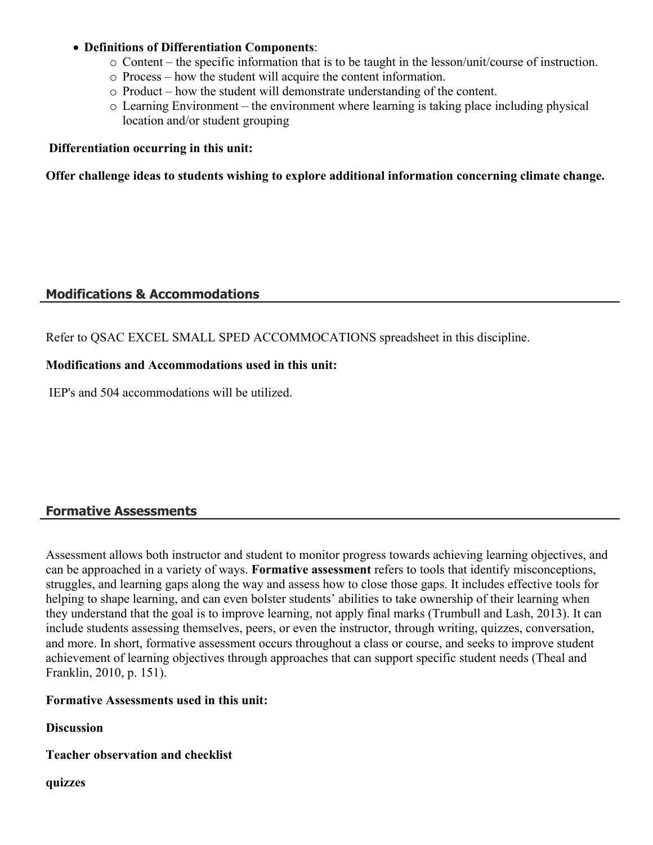#### **Definitions of Differentiation Components**:

- o Content the specific information that is to be taught in the lesson/unit/course of instruction.
- o Process how the student will acquire the content information.
- o Product how the student will demonstrate understanding of the content.
- o Learning Environment the environment where learning is taking place including physical location and/or student grouping

#### **Differentiation occurring in this unit:**

**Offer challenge ideas to students wishing to explore additional information concerning climate change.**

#### **Modifications & Accommodations**

Refer to QSAC EXCEL SMALL SPED ACCOMMOCATIONS spreadsheet in this discipline.

#### **Modifications and Accommodations used in this unit:**

IEP's and 504 accommodations will be utilized.

#### **Formative Assessments**

Assessment allows both instructor and student to monitor progress towards achieving learning objectives, and can be approached in a variety of ways. **Formative assessment** refers to tools that identify misconceptions, struggles, and learning gaps along the way and assess how to close those gaps. It includes effective tools for helping to shape learning, and can even bolster students' abilities to take ownership of their learning when they understand that the goal is to improve learning, not apply final marks (Trumbull and Lash, 2013). It can include students assessing themselves, peers, or even the instructor, through writing, quizzes, conversation, and more. In short, formative assessment occurs throughout a class or course, and seeks to improve student achievement of learning objectives through approaches that can support specific student needs (Theal and Franklin, 2010, p. 151).

### **Formative Assessments used in this unit:**

**Discussion** 

**Teacher observation and checklist** 

**quizzes**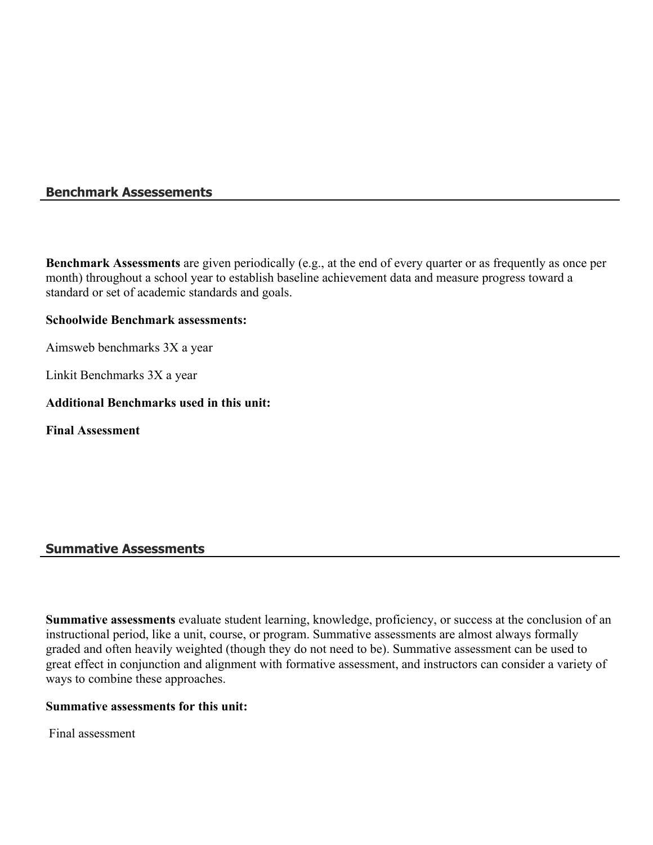#### **Benchmark Assessements**

**Benchmark Assessments** are given periodically (e.g., at the end of every quarter or as frequently as once per month) throughout a school year to establish baseline achievement data and measure progress toward a standard or set of academic standards and goals.

#### **Schoolwide Benchmark assessments:**

Aimsweb benchmarks 3X a year

Linkit Benchmarks 3X a year

#### **Additional Benchmarks used in this unit:**

**Final Assessment**

#### **Summative Assessments**

**Summative assessments** evaluate student learning, knowledge, proficiency, or success at the conclusion of an instructional period, like a unit, course, or program. Summative assessments are almost always formally graded and often heavily weighted (though they do not need to be). Summative assessment can be used to great effect in conjunction and alignment with formative assessment, and instructors can consider a variety of ways to combine these approaches.

#### **Summative assessments for this unit:**

Final assessment